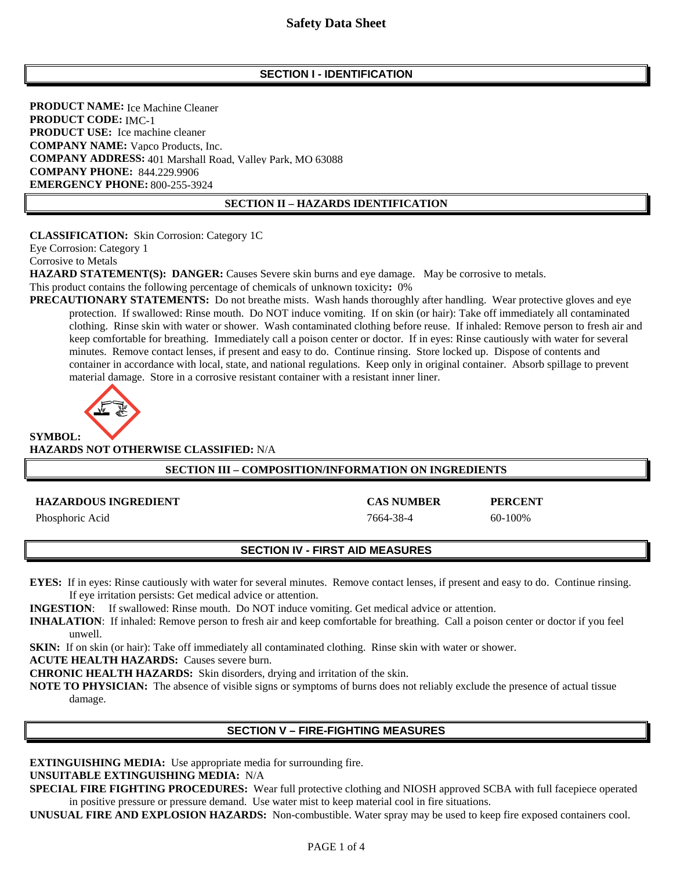# **SECTION I - IDENTIFICATION**

**PRODUCT NAME:** Ice Machine Cleaner Ice Machine Cleaner **PRODUCT CODE:** IMC-1 **PRODUCT USE:** Ice machine cleaner **COMPANY NAME:** Vapco Products, Inc. COMPANY ADDRESS: 401 Marshall Road, Valley Park, MO 63088 **COMPANY PHONE: 844.229.9906 EMERGENCY PHONE: 800-255-3924**  800-255-3924

#### **SECTION II – HAZARDS IDENTIFICATION**

**CLASSIFICATION:** Skin Corrosion: Category 1C

Eye Corrosion: Category 1

Corrosive to Metals

**HAZARD STATEMENT(S): DANGER:** Causes Severe skin burns and eye damage. May be corrosive to metals.

This product contains the following percentage of chemicals of unknown toxicity**:** 0%

**PRECAUTIONARY STATEMENTS:** Do not breathe mists. Wash hands thoroughly after handling. Wear protective gloves and eye protection. If swallowed: Rinse mouth. Do NOT induce vomiting. If on skin (or hair): Take off immediately all contaminated clothing. Rinse skin with water or shower. Wash contaminated clothing before reuse. If inhaled: Remove person to fresh air and keep comfortable for breathing. Immediately call a poison center or doctor. If in eyes: Rinse cautiously with water for several minutes. Remove contact lenses, if present and easy to do. Continue rinsing. Store locked up. Dispose of contents and container in accordance with local, state, and national regulations. Keep only in original container. Absorb spillage to prevent material damage. Store in a corrosive resistant container with a resistant inner liner.



**HAZARDS NOT OTHERWISE CLASSIFIED:** N/A

### **SECTION III – COMPOSITION/INFORMATION ON INGREDIENTS**

#### **HAZARDOUS INGREDIENT CAS NUMBER PERCENT**

Phosphoric Acid 60-100% and 7664-38-4 60-100%

#### **SECTION IV - FIRST AID MEASURES**

**EYES:** If in eyes: Rinse cautiously with water for several minutes. Remove contact lenses, if present and easy to do. Continue rinsing. If eye irritation persists: Get medical advice or attention.

**INGESTION**: If swallowed: Rinse mouth. Do NOT induce vomiting. Get medical advice or attention.

**INHALATION**:If inhaled: Remove person to fresh air and keep comfortable for breathing. Call a poison center or doctor if you feel unwell.

**SKIN:** If on skin (or hair): Take off immediately all contaminated clothing. Rinse skin with water or shower.

**ACUTE HEALTH HAZARDS:** Causes severe burn.

**CHRONIC HEALTH HAZARDS:** Skin disorders, drying and irritation of the skin.

**NOTE TO PHYSICIAN:** The absence of visible signs or symptoms of burns does not reliably exclude the presence of actual tissue damage.

### **SECTION V – FIRE-FIGHTING MEASURES**

**EXTINGUISHING MEDIA:** Use appropriate media for surrounding fire.

### **UNSUITABLE EXTINGUISHING MEDIA:** N/A

**SPECIAL FIRE FIGHTING PROCEDURES:** Wear full protective clothing and NIOSH approved SCBA with full facepiece operated in positive pressure or pressure demand. Use water mist to keep material cool in fire situations.

**UNUSUAL FIRE AND EXPLOSION HAZARDS:** Non-combustible. Water spray may be used to keep fire exposed containers cool.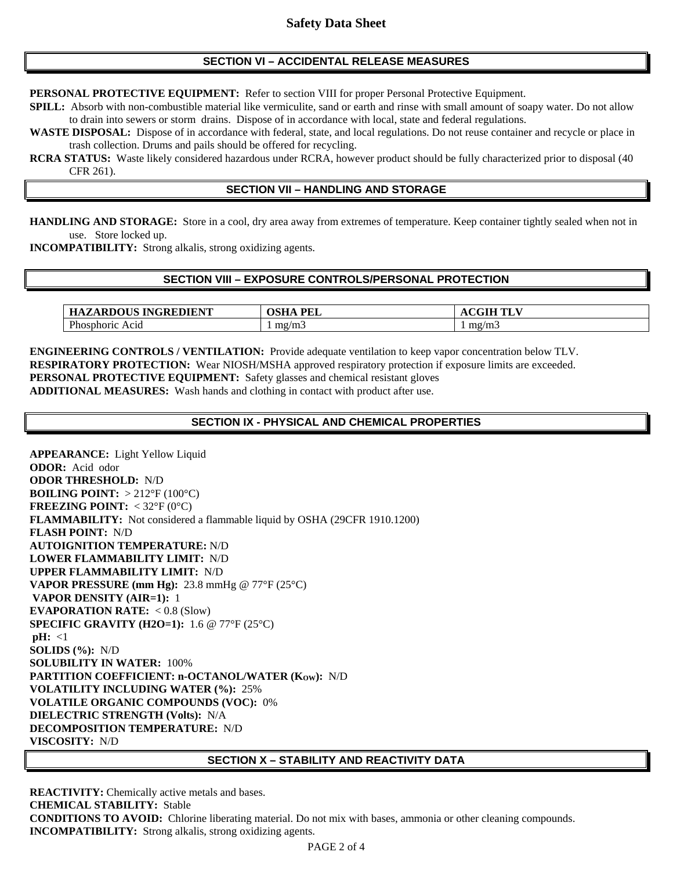### **SECTION VI – ACCIDENTAL RELEASE MEASURES**

**PERSONAL PROTECTIVE EQUIPMENT:** Refer to section VIII for proper Personal Protective Equipment.

**SPILL:** Absorb with non-combustible material like vermiculite, sand or earth and rinse with small amount of soapy water. Do not allow to drain into sewers or storm drains. Dispose of in accordance with local, state and federal regulations.

**WASTE DISPOSAL:** Dispose of in accordance with federal, state, and local regulations. Do not reuse container and recycle or place in trash collection. Drums and pails should be offered for recycling.

**RCRA STATUS:** Waste likely considered hazardous under RCRA, however product should be fully characterized prior to disposal (40 CFR 261).

# **SECTION VII – HANDLING AND STORAGE**

**HANDLING AND STORAGE:** Store in a cool, dry area away from extremes of temperature. Keep container tightly sealed when not in use. Store locked up.

**INCOMPATIBILITY:** Strong alkalis, strong oxidizing agents.

#### **SECTION VIII – EXPOSURE CONTROLS/PERSONAL PROTECTION**

| ARDOUS INGREDIENT.<br>* A KDU C.<br>ерличн | <b>PFI</b><br>лсн<br>: H ∆ | - - -<br><b>TIME</b><br>$\mathbf{r}$<br>. . |
|--------------------------------------------|----------------------------|---------------------------------------------|
| $\mathbf{D}$<br>'hosphoric<br>Acid         | mg/m3                      | mg/m3                                       |

**ENGINEERING CONTROLS / VENTILATION:** Provide adequate ventilation to keep vapor concentration below TLV. **RESPIRATORY PROTECTION:** Wear NIOSH/MSHA approved respiratory protection if exposure limits are exceeded. **PERSONAL PROTECTIVE EQUIPMENT:** Safety glasses and chemical resistant gloves **ADDITIONAL MEASURES:** Wash hands and clothing in contact with product after use.

#### **SECTION IX - PHYSICAL AND CHEMICAL PROPERTIES**

**APPEARANCE:** Light Yellow Liquid **ODOR:** Acid odor **ODOR THRESHOLD:** N/D **BOILING POINT:** > 212°F (100°C) **FREEZING POINT:**  $<$  32°F (0°C) **FLAMMABILITY:** Not considered a flammable liquid by OSHA (29CFR 1910.1200) **FLASH POINT:** N/D **AUTOIGNITION TEMPERATURE:** N/D **LOWER FLAMMABILITY LIMIT:** N/D **UPPER FLAMMABILITY LIMIT:** N/D **VAPOR PRESSURE (mm Hg):** 23.8 mmHg @ 77°F (25°C)  **VAPOR DENSITY (AIR=1):** 1 **EVAPORATION RATE:** < 0.8 (Slow) **SPECIFIC GRAVITY (H2O=1):** 1.6 @ 77°F (25°C)  $pH: \langle 1$ **SOLIDS (%):** N/D **SOLUBILITY IN WATER:** 100% PARTITION COEFFICIENT: n-OCTANOL/WATER (Kow): N/D **VOLATILITY INCLUDING WATER (%):** 25% **VOLATILE ORGANIC COMPOUNDS (VOC):** 0% **DIELECTRIC STRENGTH (Volts):** N/A **DECOMPOSITION TEMPERATURE:** N/D **VISCOSITY:** N/D

#### **SECTION X – STABILITY AND REACTIVITY DATA**

**REACTIVITY:** Chemically active metals and bases. **CHEMICAL STABILITY:** Stable **CONDITIONS TO AVOID:** Chlorine liberating material. Do not mix with bases, ammonia or other cleaning compounds. **INCOMPATIBILITY:** Strong alkalis, strong oxidizing agents.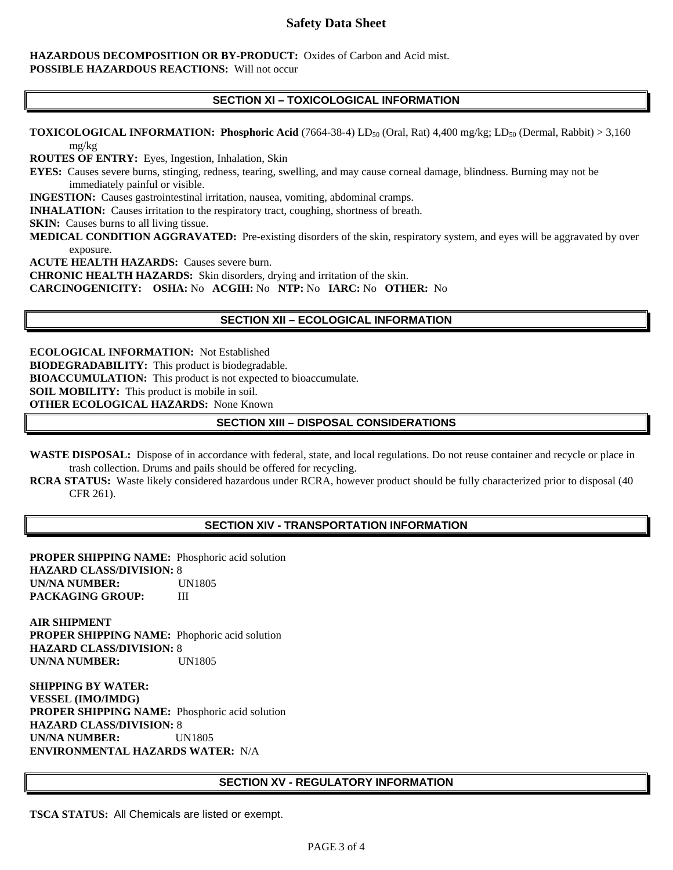# **Safety Data Sheet**

#### **HAZARDOUS DECOMPOSITION OR BY-PRODUCT:** Oxides of Carbon and Acid mist. **POSSIBLE HAZARDOUS REACTIONS:** Will not occur

# **SECTION XI – TOXICOLOGICAL INFORMATION**

**TOXICOLOGICAL INFORMATION: Phosphoric Acid** (7664-38-4) LD<sub>50</sub> (Oral, Rat) 4,400 mg/kg; LD<sub>50</sub> (Dermal, Rabbit) > 3,160 mg/kg

**ROUTES OF ENTRY:** Eyes, Ingestion, Inhalation, Skin

**EYES:** Causes severe burns, stinging, redness, tearing, swelling, and may cause corneal damage, blindness. Burning may not be immediately painful or visible.

**INGESTION:** Causes gastrointestinal irritation, nausea, vomiting, abdominal cramps.

**INHALATION:** Causes irritation to the respiratory tract, coughing, shortness of breath.

**SKIN:** Causes burns to all living tissue.

**MEDICAL CONDITION AGGRAVATED:** Pre-existing disorders of the skin, respiratory system, and eyes will be aggravated by over exposure.

**ACUTE HEALTH HAZARDS:** Causes severe burn.

**CHRONIC HEALTH HAZARDS:** Skin disorders, drying and irritation of the skin.

**CARCINOGENICITY: OSHA:** No **ACGIH:** No **NTP:** No **IARC:** No **OTHER:** No

### **SECTION XII – ECOLOGICAL INFORMATION**

**ECOLOGICAL INFORMATION:** Not Established **BIODEGRADABILITY:** This product is biodegradable. **BIOACCUMULATION:** This product is not expected to bioaccumulate. **SOIL MOBILITY:** This product is mobile in soil. **OTHER ECOLOGICAL HAZARDS:** None Known

### **SECTION XIII – DISPOSAL CONSIDERATIONS**

**WASTE DISPOSAL:** Dispose of in accordance with federal, state, and local regulations. Do not reuse container and recycle or place in trash collection. Drums and pails should be offered for recycling.

**RCRA STATUS:** Waste likely considered hazardous under RCRA, however product should be fully characterized prior to disposal (40 CFR 261).

### **SECTION XIV - TRANSPORTATION INFORMATION**

**PROPER SHIPPING NAME:** Phosphoric acid solution **HAZARD CLASS/DIVISION:** 8 **UN/NA NUMBER:** UN1805 **PACKAGING GROUP:** III

**AIR SHIPMENT PROPER SHIPPING NAME:** Phophoric acid solution **HAZARD CLASS/DIVISION:** 8 **UN/NA NUMBER:** UN1805

**SHIPPING BY WATER: VESSEL (IMO/IMDG) PROPER SHIPPING NAME:** Phosphoric acid solution **HAZARD CLASS/DIVISION:** 8 **UN/NA NUMBER:** UN1805 **ENVIRONMENTAL HAZARDS WATER:** N/A

### **SECTION XV - REGULATORY INFORMATION**

**TSCA STATUS:** All Chemicals are listed or exempt.